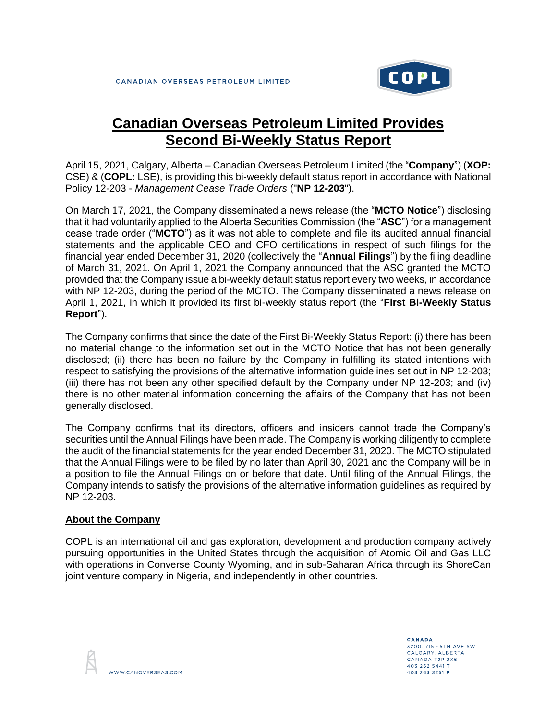

## **Canadian Overseas Petroleum Limited Provides Second Bi-Weekly Status Report**

April 15, 2021, Calgary, Alberta – Canadian Overseas Petroleum Limited (the "**Company**") (**XOP:** CSE) & (**COPL:** LSE), is providing this bi-weekly default status report in accordance with National Policy 12-203 - *Management Cease Trade Orders* ("**NP 12-203**").

On March 17, 2021, the Company disseminated a news release (the "**MCTO Notice**") disclosing that it had voluntarily applied to the Alberta Securities Commission (the "**ASC**") for a management cease trade order ("**MCTO**") as it was not able to complete and file its audited annual financial statements and the applicable CEO and CFO certifications in respect of such filings for the financial year ended December 31, 2020 (collectively the "**Annual Filings**") by the filing deadline of March 31, 2021. On April 1, 2021 the Company announced that the ASC granted the MCTO provided that the Company issue a bi-weekly default status report every two weeks, in accordance with NP 12-203, during the period of the MCTO. The Company disseminated a news release on April 1, 2021, in which it provided its first bi-weekly status report (the "**First Bi-Weekly Status Report**").

The Company confirms that since the date of the First Bi-Weekly Status Report: (i) there has been no material change to the information set out in the MCTO Notice that has not been generally disclosed; (ii) there has been no failure by the Company in fulfilling its stated intentions with respect to satisfying the provisions of the alternative information guidelines set out in NP 12-203; (iii) there has not been any other specified default by the Company under NP 12-203; and (iv) there is no other material information concerning the affairs of the Company that has not been generally disclosed.

The Company confirms that its directors, officers and insiders cannot trade the Company's securities until the Annual Filings have been made. The Company is working diligently to complete the audit of the financial statements for the year ended December 31, 2020. The MCTO stipulated that the Annual Filings were to be filed by no later than April 30, 2021 and the Company will be in a position to file the Annual Filings on or before that date. Until filing of the Annual Filings, the Company intends to satisfy the provisions of the alternative information guidelines as required by NP 12-203.

## **About the Company**

COPL is an international oil and gas exploration, development and production company actively pursuing opportunities in the United States through the acquisition of Atomic Oil and Gas LLC with operations in Converse County Wyoming, and in sub-Saharan Africa through its ShoreCan joint venture company in Nigeria, and independently in other countries.